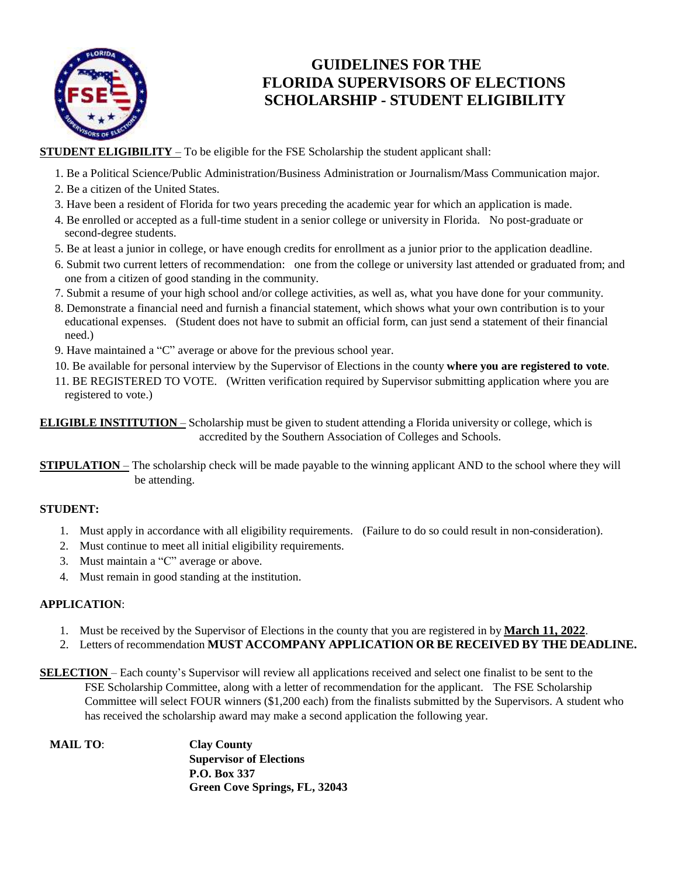

### **GUIDELINES FOR THE FLORIDA SUPERVISORS OF ELECTIONS SCHOLARSHIP - STUDENT ELIGIBILITY**

**STUDENT ELIGIBILITY** – To be eligible for the FSE Scholarship the student applicant shall:

- 1. Be a Political Science/Public Administration/Business Administration or Journalism/Mass Communication major.
- 2. Be a citizen of the United States.
- 3. Have been a resident of Florida for two years preceding the academic year for which an application is made.
- 4. Be enrolled or accepted as a full-time student in a senior college or university in Florida. No post-graduate or second-degree students.
- 5. Be at least a junior in college, or have enough credits for enrollment as a junior prior to the application deadline.
- 6. Submit two current letters of recommendation: one from the college or university last attended or graduated from; and one from a citizen of good standing in the community.
- 7. Submit a resume of your high school and/or college activities, as well as, what you have done for your community.
- 8. Demonstrate a financial need and furnish a financial statement, which shows what your own contribution is to your educational expenses. (Student does not have to submit an official form, can just send a statement of their financial need.)
- 9. Have maintained a "C" average or above for the previous school year.
- 10. Be available for personal interview by the Supervisor of Elections in the county **where you are registered to vote**.
- 11. BE REGISTERED TO VOTE. (Written verification required by Supervisor submitting application where you are registered to vote.)

**ELIGIBLE INSTITUTION** – Scholarship must be given to student attending a Florida university or college, which is accredited by the Southern Association of Colleges and Schools.

**STIPULATION** – The scholarship check will be made payable to the winning applicant AND to the school where they will be attending.

### **STUDENT:**

- 1. Must apply in accordance with all eligibility requirements. (Failure to do so could result in non-consideration).
- 2. Must continue to meet all initial eligibility requirements.
- 3. Must maintain a "C" average or above.
- 4. Must remain in good standing at the institution.

#### **APPLICATION**:

- 1. Must be received by the Supervisor of Elections in the county that you are registered in by **March 11, 2022**.
- 2. Letters of recommendation **MUST ACCOMPANY APPLICATION OR BE RECEIVED BY THE DEADLINE.**
- **SELECTION** Each county's Supervisor will review all applications received and select one finalist to be sent to the FSE Scholarship Committee, along with a letter of recommendation for the applicant. The FSE Scholarship Committee will select FOUR winners (\$1,200 each) from the finalists submitted by the Supervisors. A student who has received the scholarship award may make a second application the following year.

| <b>MAIL TO:</b> | <b>Clay County</b>             |
|-----------------|--------------------------------|
|                 | <b>Supervisor of Elections</b> |
|                 | P.O. Box 337                   |
|                 | Green Cove Springs, FL, 32043  |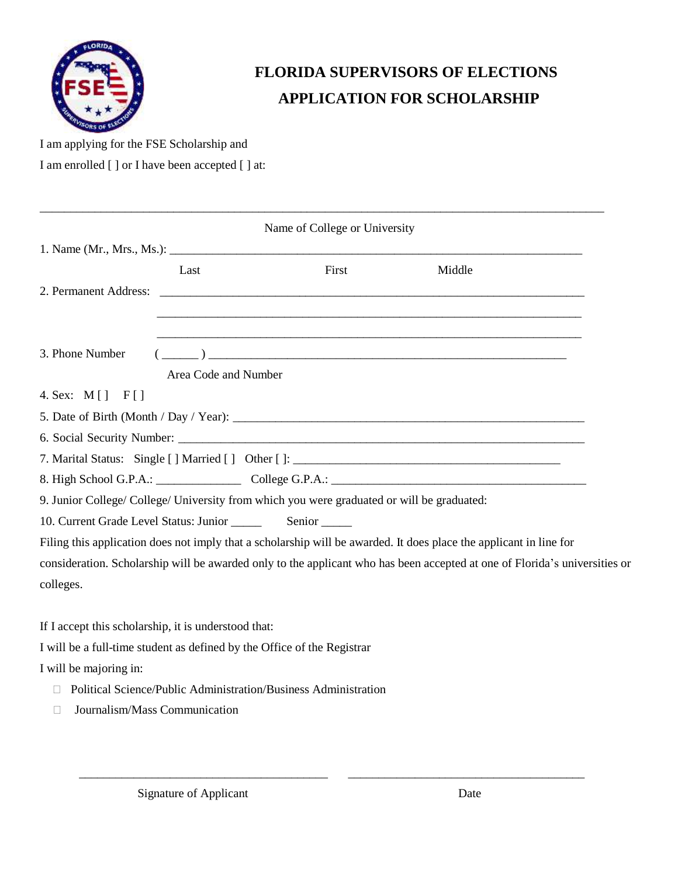

# **FLORIDA SUPERVISORS OF ELECTIONS APPLICATION FOR SCHOLARSHIP**

I am applying for the FSE Scholarship and

I am enrolled [ ] or I have been accepted [ ] at:

|                                                                         |                      | Name of College or University                                                                                                                                                                                                                                                                                                                                      |                                                                                                                            |
|-------------------------------------------------------------------------|----------------------|--------------------------------------------------------------------------------------------------------------------------------------------------------------------------------------------------------------------------------------------------------------------------------------------------------------------------------------------------------------------|----------------------------------------------------------------------------------------------------------------------------|
|                                                                         |                      |                                                                                                                                                                                                                                                                                                                                                                    |                                                                                                                            |
|                                                                         | Last                 | First                                                                                                                                                                                                                                                                                                                                                              | Middle                                                                                                                     |
|                                                                         |                      |                                                                                                                                                                                                                                                                                                                                                                    |                                                                                                                            |
|                                                                         |                      |                                                                                                                                                                                                                                                                                                                                                                    |                                                                                                                            |
| 3. Phone Number                                                         |                      |                                                                                                                                                                                                                                                                                                                                                                    |                                                                                                                            |
|                                                                         | Area Code and Number | $\begin{picture}(150,10) \put(0,0){\vector(1,0){100}} \put(15,0){\vector(1,0){100}} \put(15,0){\vector(1,0){100}} \put(15,0){\vector(1,0){100}} \put(15,0){\vector(1,0){100}} \put(15,0){\vector(1,0){100}} \put(15,0){\vector(1,0){100}} \put(15,0){\vector(1,0){100}} \put(15,0){\vector(1,0){100}} \put(15,0){\vector(1,0){100}} \put(15,0){\vector(1,0){100}}$ |                                                                                                                            |
| 4. Sex: M[] F[]                                                         |                      |                                                                                                                                                                                                                                                                                                                                                                    |                                                                                                                            |
|                                                                         |                      |                                                                                                                                                                                                                                                                                                                                                                    |                                                                                                                            |
|                                                                         |                      |                                                                                                                                                                                                                                                                                                                                                                    |                                                                                                                            |
|                                                                         |                      | 7. Marital Status: Single [] Married [] Other []: _______________________________                                                                                                                                                                                                                                                                                  |                                                                                                                            |
|                                                                         |                      | 8. High School G.P.A.: College G.P.A.: College G.P.A.: College G.P.A.: College G.P.A.: College G.P.A.: College G.P.A.: College G.P.A.: College G.P.A.: College G.P.A.: College G.P.A.: College G.P.A.: College G.P.A.: College                                                                                                                                     |                                                                                                                            |
|                                                                         |                      | 9. Junior College/ College/ University from which you were graduated or will be graduated:                                                                                                                                                                                                                                                                         |                                                                                                                            |
|                                                                         |                      |                                                                                                                                                                                                                                                                                                                                                                    |                                                                                                                            |
|                                                                         |                      | Filing this application does not imply that a scholarship will be awarded. It does place the applicant in line for                                                                                                                                                                                                                                                 |                                                                                                                            |
|                                                                         |                      |                                                                                                                                                                                                                                                                                                                                                                    | consideration. Scholarship will be awarded only to the applicant who has been accepted at one of Florida's universities or |
| colleges.                                                               |                      |                                                                                                                                                                                                                                                                                                                                                                    |                                                                                                                            |
|                                                                         |                      |                                                                                                                                                                                                                                                                                                                                                                    |                                                                                                                            |
| If I accept this scholarship, it is understood that:                    |                      |                                                                                                                                                                                                                                                                                                                                                                    |                                                                                                                            |
| I will be a full-time student as defined by the Office of the Registrar |                      |                                                                                                                                                                                                                                                                                                                                                                    |                                                                                                                            |
| I will be majoring in:                                                  |                      |                                                                                                                                                                                                                                                                                                                                                                    |                                                                                                                            |

\_\_\_\_\_\_\_\_\_\_\_\_\_\_\_\_\_\_\_\_\_\_\_\_\_\_\_\_\_\_\_\_\_\_\_\_\_\_\_\_\_\_\_\_\_\_\_\_\_\_\_\_\_\_\_\_\_\_\_\_\_\_\_\_\_\_\_\_\_\_\_\_\_\_\_\_\_\_\_\_\_\_\_\_\_\_\_\_\_\_\_\_\_

- Political Science/Public Administration/Business Administration
- Journalism/Mass Communication

\_\_\_\_\_\_\_\_\_\_\_\_\_\_\_\_\_\_\_\_\_\_\_\_\_\_\_\_\_\_\_\_\_\_\_\_\_\_\_\_\_